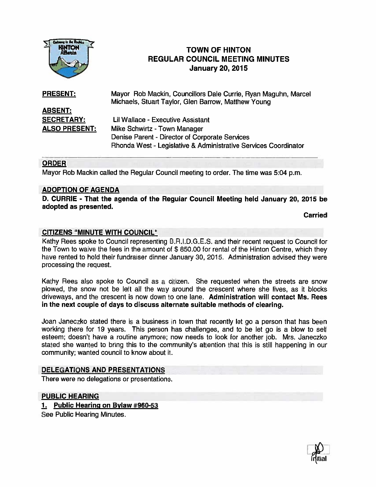

# **TOWN OF HINTON** REGULAR COUNCIL MEETING MINUTES January 20, 2015

Rhonda West - Legislative & Administrative Services Coordinator

PRESENT: Mayor Rob Mackin, Councillors Dale Currie, Ryan Maguhn, Marcel Michaels, Stuart Taylor, Glen Barrow, Matthew Young ABSENT: SECRETARY: Lil Wallace - Executive Assistant ALSO PRESENT: Mike Schwirtz - Town Manager Denise Parent - Director of Corporate Services

#### ORDER

Mayor Rob Mackin called the Regular Council meeting to order. The time was 5:04 p.m.

#### ADOPTION OF AGENDA

D. CURRIE - That the agenda of the Regular Council Meeting held January 20, 2015 be adopted as presented.

Carried

#### CITIZENS "MINUTE WITH COUNCIL"

Kathy Rees spoke to Council representing B.R.I.D.G.E.S. and their recent request to Council for the Town to waive the fees in the amount of \$ 850.00 for rental of the Hinton Centre, which they have rented to hold their fundraiser dinner January 30, 2015. Administration advised they were processing the request.

Kathy Rees also spoke to Council as <sup>a</sup> citizen. She requested when the streets are snow plowed, the snow not be left all the way around the crescent where she lives, as it blocks driveways, and the crescent is now down to one lane. Administration will contact Ms. Rees in the next couple of days to discuss alternate suitable methods of clearing.

Joan Janeczko stated there is <sup>a</sup> business in town that recently let go <sup>a</sup> person that has been working there for 19 years. This person has challenges, and to be let go is <sup>a</sup> blow to self esteem; doesn't have <sup>a</sup> routine anymore; now needs to look for another job. Mrs. Janeczko stated she wanted to bring this to the community's attention that this is still happening in our community; wanted council to know about it.

#### DELEGATIONS AND PRESENTATIONS

There were no delegations or presentations.

### PUBLIC HEARING

#### 1. Public Hearing on Bylaw #960-53

See Public Hearing Minutes.

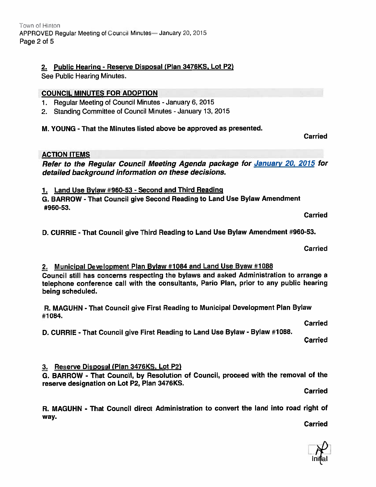# 2. Public Hearing - Reserve Disposal (Plan 3476KS, Lot P2)

See Public Hearing Minutes.

## COUNCIL MINUTES FOR ADOPTION

- 1. Regular Meeting of Council Minutes -January 6, 2015
- 2. Standing Committee of Council Minutes January 13, 2015

M. YOUNG - That the Minutes listed above be approved as presented.

## ACTION ITEMS

Refer to the Regular Council Meeting Agenda package for January 20, 2015 for detailed background information on these decisions.

1. Land Use Bylaw #960-53 - Second and Third Reading

G. BARROW - That Council <sup>g</sup>ive Second Reading to Land Use Bylaw Amendment #960-53.

Carried

Carried

D. CURRIE - That Council <sup>g</sup>ive Third Reading to Land Use Bylaw Amendment #960-53.

Carried

# 2. Municipal Development Plan Bylaw #1084 and Land Use Byaw #1088

Council still has concerns respecting the bylaws and asked Administration to arrange <sup>a</sup> telephone conference call with the consultants, Pario Plan, prior to any public hearing being scheduled.

R. MAGUHN - That Council <sup>g</sup>ive First Reading to Municipal Development Plan Bylaw #1 084.

Carried

D. CURRIE - That Council <sup>g</sup>ive First Reading to Land Use Bylaw - Bylaw #1 088.

Carried

# 3. Reserve Disposal (Plan 3476KS, Lot P2)

G. BARROW - That Council, by Resolution of Council, procee<sup>d</sup> with the removal of the reserve designation on Lot P2, Plan 3476KS.

Carried

R. MAGUHN - That Council direct Administration to convert the land into road right of way.

Carried

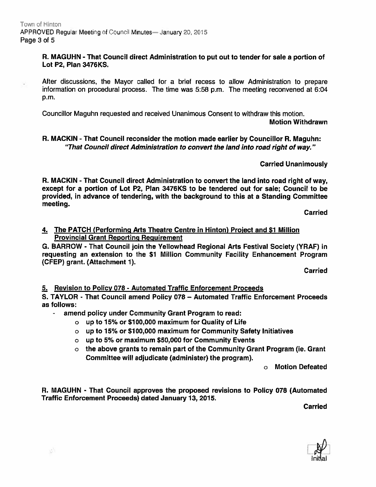### R. MAGUHN - That Council direct Administration to pu<sup>t</sup> out to tender for sale <sup>a</sup> portion of Lot P2, Plan 3476KS.

Alter discussions, the Mayor called for <sup>a</sup> brief recess to allow Administration to prepare information on procedural process. The time was 5:58 p.m. The meeting reconvened at 6:04 p.m.

Councillor Maguhn requested and received Unanimous Consent to withdraw this motion.

Motion Withdrawn

## R. MACKIN -That Council reconsider the motion made earlier by Councillor R. Maguhn: "That Council direct Administration to convert the land into road right of way."

Carried Unanimously

R. MACKIN - That Council direct Administration to convert the land into road right of way, excep<sup>t</sup> for <sup>a</sup> portion of Lot P2, Plan 3476KS to be tendered out for sale; Council to be provided, in advance of tendering, with the background to this at <sup>a</sup> Standing Committee meeting.

**Carried** 

### 4. The PATCH (Performing Arts Theatre Centre in Hinton) Proiect and \$1 Million Provincial Grant Reporting Requirement

G. BARROW - That Council join the Yellowhead Regional Arts Festival Society (YRAF) in requesting an extension to the Si Million Community Facility Enhancement Program (CFEP) grant. (Attachment 1).

**Carried** 

5. Revision to Policy 078 - Automated Traffic Enforcement Proceeds

S. TAYLOR - That Council amend Policy 078 — Automated Traffic Enforcement Proceeds as follows:

amend policy under Community Grant Program to read:

- <sup>o</sup> up to i5% or Si 00,000 maximum for Quality of Life
- <sup>o</sup> up to 15% or \$100,000 maximum for Community Safety Initiatives
- <sup>o</sup> up to 5% or maximum \$50,000 for Community Events
- <sup>o</sup> the above grants to remain par<sup>t</sup> of the Community Grant Program (ie. Grant Committee will adjudicate (administer) the program).

<sup>o</sup> Motion Defeated

R. MAGUHN - That Council approves the proposed revisions to Policy 078 (Automated Traffic Enforcement Proceeds) dated January 13, 2015.

Carried

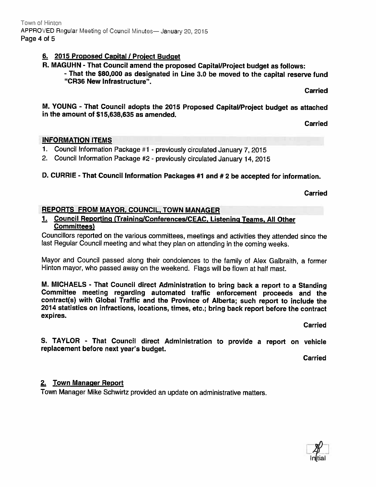## 6. 2015 Proposed Capital / Project Budget

R. MAGUHN - That Council amend the proposed Capital/Project budget as follows:

- That the \$80,000 as designated in Line 3.0 be moved to the capital reserve fund "CR36 New Infrastructure".

Carried

M. YOUNG - That Council adopts the <sup>2015</sup> Proposed Capital!Project budget as attached in the amount of \$15,638,635 as amended.

Carried

### INFORMATION ITEMS

- 1. Council Information Package #1 previously circulated January 7, 2015
- 2. Council Information Package #2 previously circulated January 14, <sup>2015</sup>

## D. CURRIE - That Council Information Packages #1 and #2 be accepted for information.

Carried

### REPORTS FROM MAYOR. COUNCIL, TOWN MANAGER

### 1. Council Reporting (Training/Conferences/CEAC, Listening Teams, All Other Committees)

Councillors reported on the various committees, meetings and activities they attended since the last Regular Council meeting and what they <sup>p</sup>lan on attending in the coming weeks.

Mayor and Council passe<sup>d</sup> along their condolences to the family of Alex Galbraith, <sup>a</sup> former Hinton mayor, who passe<sup>d</sup> away on the weekend. Flags will be flown at half mast.

M. MICHAELS - That Council direct Administration to bring back <sup>a</sup> repor<sup>t</sup> to <sup>a</sup> Standing Committee meeting regarding automated traffic enforcement proceeds and the contract(s) with Global Traffic and the Province of Alberta; such repor<sup>t</sup> to include the <sup>2014</sup> statistics on infractions, locations, times, etc.; bring back repor<sup>t</sup> before the contract expires.

Carried

S. TAYLOR - That Council direct Administration to provide <sup>a</sup> repor<sup>t</sup> on vehicle replacement before next year's budget.

Carried

## 2. Town Manager Report

Town Manager Mike Schwirtz provided an update on administrative matters.